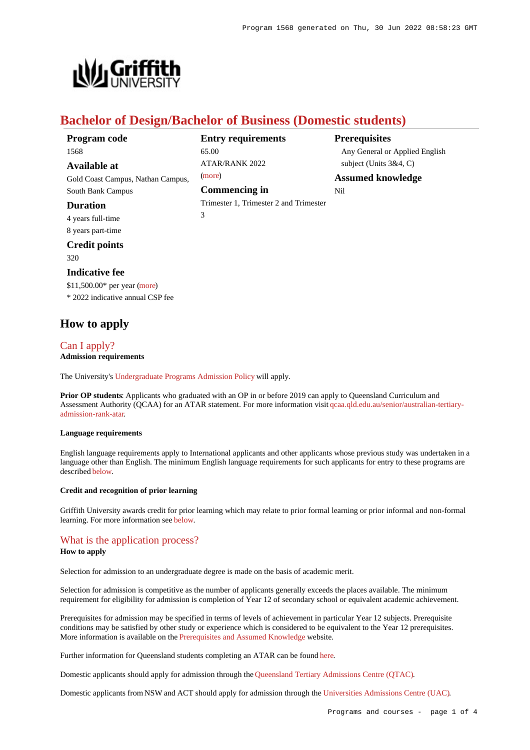

## **Bachelor of Design/Bachelor of Business (Domestic students)**

| Program code                      | <b>Entry requirements</b>              | <b>Prerequisites</b>           |
|-----------------------------------|----------------------------------------|--------------------------------|
| 1568                              | 65.00                                  | Any General or Applied English |
| Available at                      | <b>ATAR/RANK 2022</b>                  | subject (Units $3&4, C$ )      |
| Gold Coast Campus, Nathan Campus, | (more)                                 | <b>Assumed knowledge</b>       |
| South Bank Campus                 | <b>Commencing in</b>                   | Nil                            |
| <b>Duration</b>                   | Trimester 1, Trimester 2 and Trimester |                                |
| 4 years full-time                 | 3                                      |                                |
| 8 years part-time                 |                                        |                                |

## **Credit points**

320

#### **Indicative fee**

\$11,500.00\* per year [\(more](https://www148.griffith.edu.au/programs-courses/Program/1568/Overview/Domestic#fees)) \* 2022 indicative annual CSP fee

## **How to apply**

## [Can I apply?](https://www148.griffith.edu.au/programs-courses/Program/1568/HowToApply/Domestic#can-i-apply)

#### **Admission requirements**

The University's [Undergraduate Programs Admission Policy](https://sharepointpubstor.blob.core.windows.net/policylibrary-prod/Undergraduate Programs Admission Policy.pdf) will apply.

**Prior OP students**: Applicants who graduated with an OP in or before 2019 can apply to Queensland Curriculum and Assessment Authority (QCAA) for an ATAR statement. For more information visit [qcaa.qld.edu.au/senior/australian-tertiary](http://qcaa.qld.edu.au/senior/australian-tertiary-admission-rank-atar)[admission-rank-atar](http://qcaa.qld.edu.au/senior/australian-tertiary-admission-rank-atar).

#### **Language requirements**

English language requirements apply to International applicants and other applicants whose previous study was undertaken in a language other than English. The minimum English language requirements for such applicants for entry to these programs are described [below](https://www148.griffith.edu.au/programs-courses/Program/1568/HowToApply/Domestic#language).

#### **Credit and recognition of prior learning**

Griffith University awards credit for prior learning which may relate to prior formal learning or prior informal and non-formal learning. For more information see [below](https://www148.griffith.edu.au/programs-courses/Program/1568/HowToApply/Domestic#credit).

### [What is the application process?](https://www148.griffith.edu.au/programs-courses/Program/1568/HowToApply/Domestic#process)

#### **How to apply**

Selection for admission to an undergraduate degree is made on the basis of academic merit.

Selection for admission is competitive as the number of applicants generally exceeds the places available. The minimum requirement for eligibility for admission is completion of Year 12 of secondary school or equivalent academic achievement.

Prerequisites for admission may be specified in terms of levels of achievement in particular Year 12 subjects. Prerequisite conditions may be satisfied by other study or experience which is considered to be equivalent to the Year 12 prerequisites. More information is available on the [Prerequisites and Assumed Knowledge](https://www.griffith.edu.au/apply/prerequisites-assumed-knowledge) website.

Further information for Queensland students completing an ATAR can be found [here](https://www.griffith.edu.au/apply/undergraduate-study/high-school-students/admission-in-2021).

Domestic applicants should apply for admission through the [Queensland Tertiary Admissions Centre \(QTAC\)](http://www.qtac.edu.au/).

Domestic applicants from NSW and ACT should apply for admission through the [Universities Admissions Centre \(UAC\)](http://www.uac.edu.au/).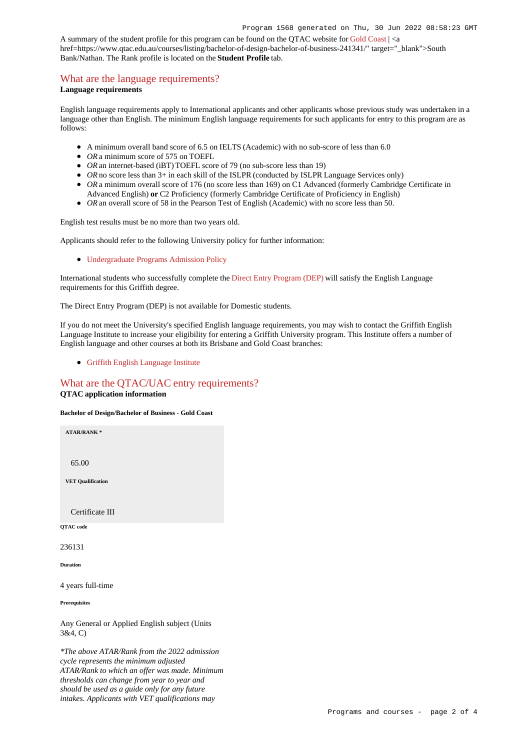A summary of the student profile for this program can be found on the QTAC website for [Gold Coast](https://www.qtac.edu.au/courses/listing/bachelor-of-design-bachelor-of-business-236131/) | <a href=https://www.qtac.edu.au/courses/listing/bachelor-of-design-bachelor-of-business-241341/" target="\_blank">South Bank/Nathan. The Rank profile is located on the **Student Profile** tab.

### [What are the language requirements?](https://www148.griffith.edu.au/programs-courses/Program/1568/HowToApply/Domestic#language)

#### **Language requirements**

English language requirements apply to International applicants and other applicants whose previous study was undertaken in a language other than English. The minimum English language requirements for such applicants for entry to this program are as follows:

- A minimum overall band score of 6.5 on IELTS (Academic) with no sub-score of less than 6.0
- OR a minimum score of 575 on TOEFL
- *OR* an internet-based (iBT) TOEFL score of 79 (no sub-score less than 19)
- OR no score less than 3+ in each skill of the ISLPR (conducted by ISLPR Language Services only)
- OR a minimum overall score of 176 (no score less than 169) on C1 Advanced (formerly Cambridge Certificate in Advanced English) **or** C2 Proficiency (formerly Cambridge Certificate of Proficiency in English)
- OR an overall score of 58 in the Pearson Test of English (Academic) with no score less than 50.

English test results must be no more than two years old.

Applicants should refer to the following University policy for further information:

[Undergraduate Programs Admission Policy](http://policies.griffith.edu.au/pdf/Undergraduate Programs Admission Policy.pdf)

International students who successfully complete the [Direct Entry Program \(DEP\)](https://www.griffith.edu.au/international/griffith-english-language-institute/courses/direct-entry-program) will satisfy the English Language requirements for this Griffith degree.

The Direct Entry Program (DEP) is not available for Domestic students.

If you do not meet the University's specified English language requirements, you may wish to contact the Griffith English Language Institute to increase your eligibility for entering a Griffith University program. This Institute offers a number of English language and other courses at both its Brisbane and Gold Coast branches:

[Griffith English Language Institute](https://www.griffith.edu.au/international/griffith-english-language-institute)

# [What are the QTAC/UAC entry requirements?](https://www148.griffith.edu.au/programs-courses/Program/1568/HowToApply/Domestic#tac-entry-requirements)

### **QTAC application information**

**Bachelor of Design/Bachelor of Business - Gold Coast**

**ATAR/RANK \***

65.00

**VET Qualification**

Certificate III

**QTAC code**

236131

**Duration**

4 years full-time

**Prerequisites**

Any General or Applied English subject (Units 3&4, C)

*\*The above ATAR/Rank from the 2022 admission cycle represents the minimum adjusted ATAR/Rank to which an offer was made. Minimum thresholds can change from year to year and should be used as a guide only for any future intakes. Applicants with VET qualifications may*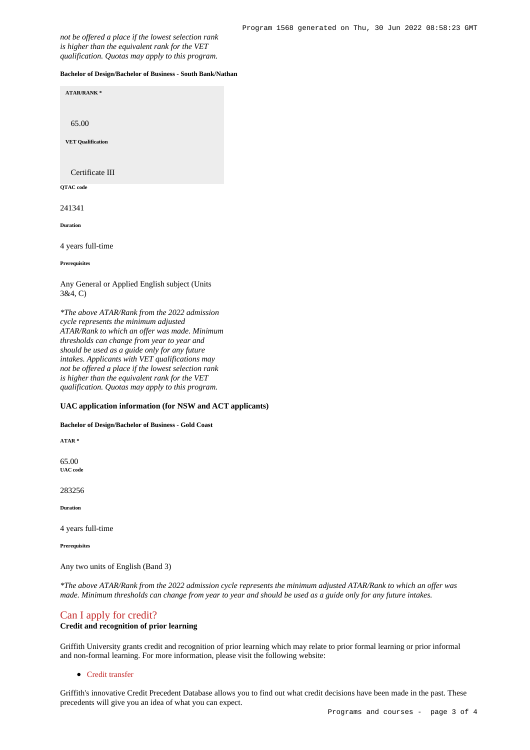*not be offered a place if the lowest selection rank is higher than the equivalent rank for the VET qualification. Quotas may apply to this program.*

#### **Bachelor of Design/Bachelor of Business - South Bank/Nathan**

**ATAR/RANK \*** 65.00 **VET Qualification** Certificate III **QTAC code**

241341

**Duration**

4 years full-time

**Prerequisites**

Any General or Applied English subject (Units 3&4, C)

*\*The above ATAR/Rank from the 2022 admission cycle represents the minimum adjusted ATAR/Rank to which an offer was made. Minimum thresholds can change from year to year and should be used as a guide only for any future intakes. Applicants with VET qualifications may not be offered a place if the lowest selection rank is higher than the equivalent rank for the VET qualification. Quotas may apply to this program.*

#### **UAC application information (for NSW and ACT applicants)**

#### **Bachelor of Design/Bachelor of Business - Gold Coast**

**ATAR \***

65.00 **UAC code**

283256

**Duration**

4 years full-time

**Prerequisites**

Any two units of English (Band 3)

*\*The above ATAR/Rank from the 2022 admission cycle represents the minimum adjusted ATAR/Rank to which an offer was made. Minimum thresholds can change from year to year and should be used as a guide only for any future intakes.*

# [Can I apply for credit?](https://www148.griffith.edu.au/programs-courses/Program/1568/HowToApply/Domestic#credit)

### **Credit and recognition of prior learning**

Griffith University grants credit and recognition of prior learning which may relate to prior formal learning or prior informal and non-formal learning. For more information, please visit the following website:

[Credit transfer](https://www.griffith.edu.au/apply/credit-transfer)

Griffith's innovative Credit Precedent Database allows you to find out what credit decisions have been made in the past. These precedents will give you an idea of what you can expect.